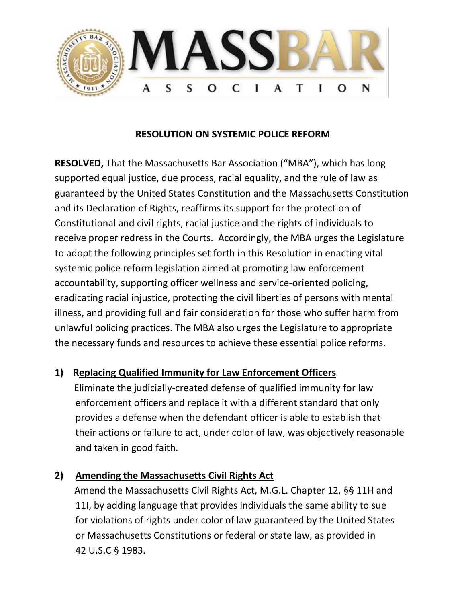

#### **RESOLUTION ON SYSTEMIC POLICE REFORM**

**RESOLVED,** That the Massachusetts Bar Association ("MBA"), which has long supported equal justice, due process, racial equality, and the rule of law as guaranteed by the United States Constitution and the Massachusetts Constitution and its Declaration of Rights, reaffirms its support for the protection of Constitutional and civil rights, racial justice and the rights of individuals to receive proper redress in the Courts. Accordingly, the MBA urges the Legislature to adopt the following principles set forth in this Resolution in enacting vital systemic police reform legislation aimed at promoting law enforcement accountability, supporting officer wellness and service-oriented policing, eradicating racial injustice, protecting the civil liberties of persons with mental illness, and providing full and fair consideration for those who suffer harm from unlawful policing practices. The MBA also urges the Legislature to appropriate the necessary funds and resources to achieve these essential police reforms.

### **1) Replacing Qualified Immunity for Law Enforcement Officers**

 Eliminate the judicially-created defense of qualified immunity for law enforcement officers and replace it with a different standard that only provides a defense when the defendant officer is able to establish that their actions or failure to act, under color of law, was objectively reasonable and taken in good faith.

### **2) Amending the Massachusetts Civil Rights Act**

Amend the Massachusetts Civil Rights Act, M.G.L. Chapter 12, §§ 11H and 11I, by adding language that provides individuals the same ability to sue for violations of rights under color of law guaranteed by the United States or Massachusetts Constitutions or federal or state law, as provided in 42 U.S.C § 1983.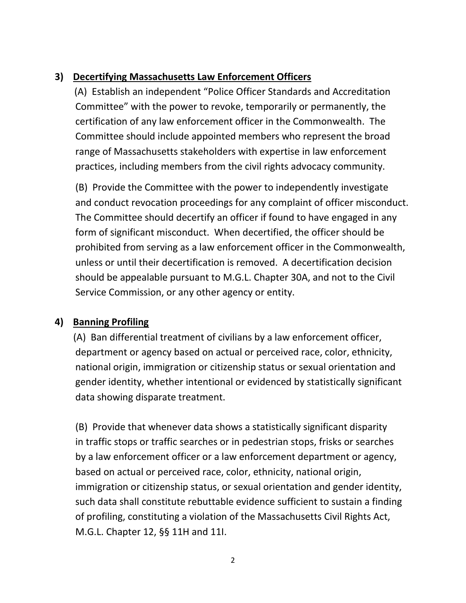## **3) Decertifying Massachusetts Law Enforcement Officers**

(A) Establish an independent "Police Officer Standards and Accreditation Committee" with the power to revoke, temporarily or permanently, the certification of any law enforcement officer in the Commonwealth. The Committee should include appointed members who represent the broad range of Massachusetts stakeholders with expertise in law enforcement practices, including members from the civil rights advocacy community.

(B) Provide the Committee with the power to independently investigate and conduct revocation proceedings for any complaint of officer misconduct. The Committee should decertify an officer if found to have engaged in any form of significant misconduct. When decertified, the officer should be prohibited from serving as a law enforcement officer in the Commonwealth, unless or until their decertification is removed. A decertification decision should be appealable pursuant to M.G.L. Chapter 30A, and not to the Civil Service Commission, or any other agency or entity.

## **4) Banning Profiling**

(A) Ban differential treatment of civilians by a law enforcement officer, department or agency based on actual or perceived race, color, ethnicity, national origin, immigration or citizenship status or sexual orientation and gender identity, whether intentional or evidenced by statistically significant data showing disparate treatment.

(B) Provide that whenever data shows a statistically significant disparity in traffic stops or traffic searches or in pedestrian stops, frisks or searches by a law enforcement officer or a law enforcement department or agency, based on actual or perceived race, color, ethnicity, national origin, immigration or citizenship status, or sexual orientation and gender identity, such data shall constitute rebuttable evidence sufficient to sustain a finding of profiling, constituting a violation of the Massachusetts Civil Rights Act, M.G.L. Chapter 12, §§ 11H and 11I.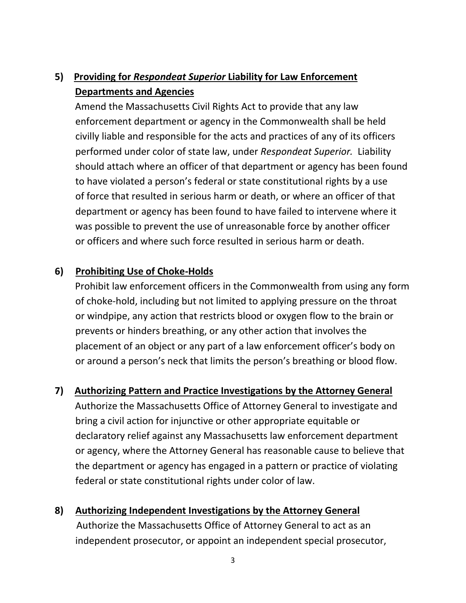# **5)****Providing for** *Respondeat Superior* **Liability for Law Enforcement Departments and Agencies**

 Amend the Massachusetts Civil Rights Act to provide that any law enforcement department or agency in the Commonwealth shall be held civilly liable and responsible for the acts and practices of any of its officers performed under color of state law, under *Respondeat Superior.* Liability should attach where an officer of that department or agency has been found to have violated a person's federal or state constitutional rights by a use of force that resulted in serious harm or death, or where an officer of that department or agency has been found to have failed to intervene where it was possible to prevent the use of unreasonable force by another officer or officers and where such force resulted in serious harm or death.

### **6) Prohibiting Use of Choke-Holds**

 Prohibit law enforcement officers in the Commonwealth from using any form of choke-hold, including but not limited to applying pressure on the throat or windpipe, any action that restricts blood or oxygen flow to the brain or prevents or hinders breathing, or any other action that involves the placement of an object or any part of a law enforcement officer's body on or around a person's neck that limits the person's breathing or blood flow.

### **7) Authorizing Pattern and Practice Investigations by the Attorney General**

 Authorize the Massachusetts Office of Attorney General to investigate and bring a civil action for injunctive or other appropriate equitable or declaratory relief against any Massachusetts law enforcement department or agency, where the Attorney General has reasonable cause to believe that the department or agency has engaged in a pattern or practice of violating federal or state constitutional rights under color of law.

# **8) Authorizing Independent Investigations by the Attorney General** Authorize the Massachusetts Office of Attorney General to act as an independent prosecutor, or appoint an independent special prosecutor,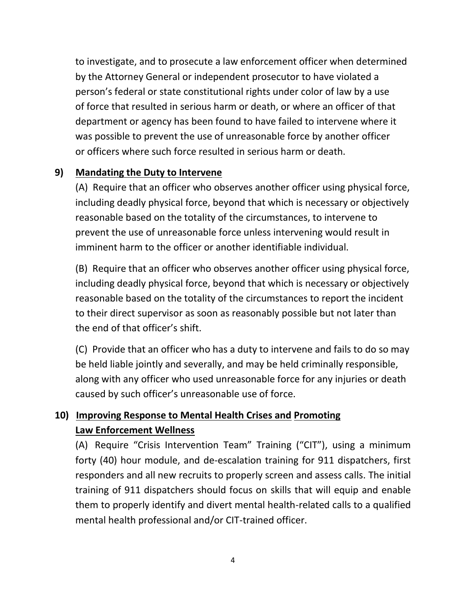to investigate, and to prosecute a law enforcement officer when determined by the Attorney General or independent prosecutor to have violated a person's federal or state constitutional rights under color of law by a use of force that resulted in serious harm or death, or where an officer of that department or agency has been found to have failed to intervene where it was possible to prevent the use of unreasonable force by another officer or officers where such force resulted in serious harm or death.

### **9) Mandating the Duty to Intervene**

(A) Require that an officer who observes another officer using physical force, including deadly physical force, beyond that which is necessary or objectively reasonable based on the totality of the circumstances, to intervene to prevent the use of unreasonable force unless intervening would result in imminent harm to the officer or another identifiable individual.

(B) Require that an officer who observes another officer using physical force, including deadly physical force, beyond that which is necessary or objectively reasonable based on the totality of the circumstances to report the incident to their direct supervisor as soon as reasonably possible but not later than the end of that officer's shift.

(C) Provide that an officer who has a duty to intervene and fails to do so may be held liable jointly and severally, and may be held criminally responsible, along with any officer who used unreasonable force for any injuries or death caused by such officer's unreasonable use of force.

# **10) Improving Response to Mental Health Crises and Promoting Law Enforcement Wellness**

(A) Require "Crisis Intervention Team" Training ("CIT"), using a minimum forty (40) hour module, and de-escalation training for 911 dispatchers, first responders and all new recruits to properly screen and assess calls. The initial training of 911 dispatchers should focus on skills that will equip and enable them to properly identify and divert mental health-related calls to a qualified mental health professional and/or CIT-trained officer.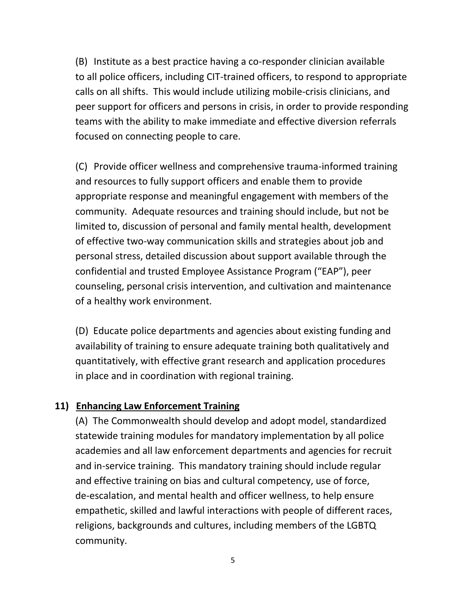(B) Institute as a best practice having a co-responder clinician available to all police officers, including CIT-trained officers, to respond to appropriate calls on all shifts. This would include utilizing mobile-crisis clinicians, and peer support for officers and persons in crisis, in order to provide responding teams with the ability to make immediate and effective diversion referrals focused on connecting people to care.

(C) Provide officer wellness and comprehensive trauma-informed training and resources to fully support officers and enable them to provide appropriate response and meaningful engagement with members of the community. Adequate resources and training should include, but not be limited to, discussion of personal and family mental health, development of effective two-way communication skills and strategies about job and personal stress, detailed discussion about support available through the confidential and trusted Employee Assistance Program ("EAP"), peer counseling, personal crisis intervention, and cultivation and maintenance of a healthy work environment.

(D) Educate police departments and agencies about existing funding and availability of training to ensure adequate training both qualitatively and quantitatively, with effective grant research and application procedures in place and in coordination with regional training.

#### **11) Enhancing Law Enforcement Training**

(A) The Commonwealth should develop and adopt model, standardized statewide training modules for mandatory implementation by all police academies and all law enforcement departments and agencies for recruit and in-service training. This mandatory training should include regular and effective training on bias and cultural competency, use of force, de-escalation, and mental health and officer wellness, to help ensure empathetic, skilled and lawful interactions with people of different races, religions, backgrounds and cultures, including members of the LGBTQ community.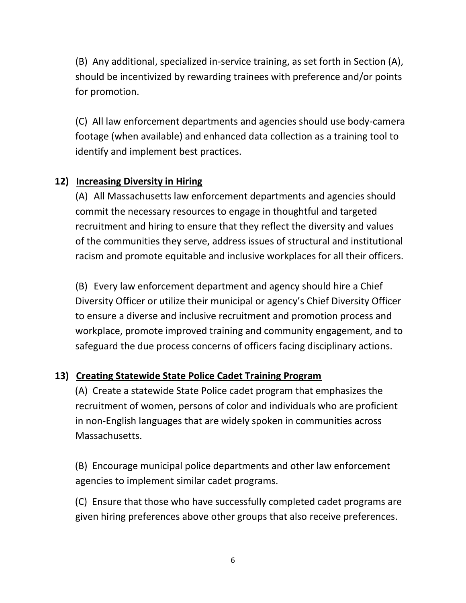(B) Any additional, specialized in-service training, as set forth in Section (A), should be incentivized by rewarding trainees with preference and/or points for promotion.

(C) All law enforcement departments and agencies should use body-camera footage (when available) and enhanced data collection as a training tool to identify and implement best practices.

### **12) Increasing Diversity in Hiring**

(A) All Massachusetts law enforcement departments and agencies should commit the necessary resources to engage in thoughtful and targeted recruitment and hiring to ensure that they reflect the diversity and values of the communities they serve, address issues of structural and institutional racism and promote equitable and inclusive workplaces for all their officers.

(B) Every law enforcement department and agency should hire a Chief Diversity Officer or utilize their municipal or agency's Chief Diversity Officer to ensure a diverse and inclusive recruitment and promotion process and workplace, promote improved training and community engagement, and to safeguard the due process concerns of officers facing disciplinary actions.

### **13) Creating Statewide State Police Cadet Training Program**

 (A) Create a statewide State Police cadet program that emphasizes the recruitment of women, persons of color and individuals who are proficient in non-English languages that are widely spoken in communities across Massachusetts.

 (B) Encourage municipal police departments and other law enforcement agencies to implement similar cadet programs.

 (C) Ensure that those who have successfully completed cadet programs are given hiring preferences above other groups that also receive preferences.